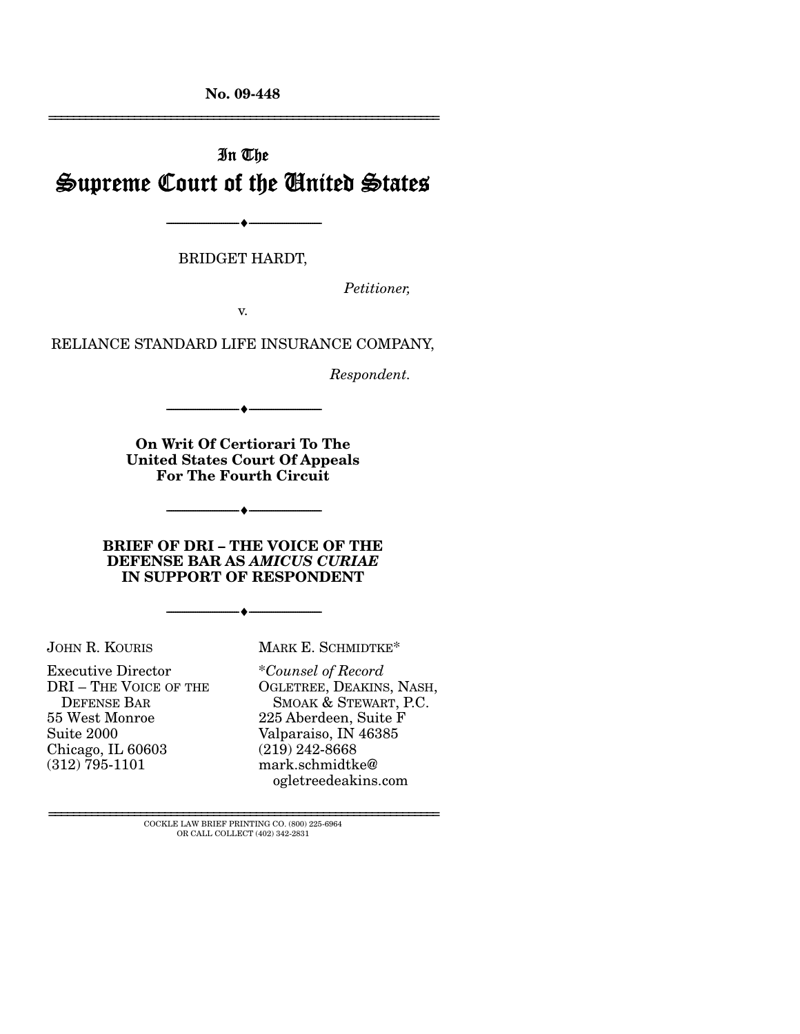**No. 09-448** 

# In The Supreme Court of the United States

--------------------------------- ♦ ---------------------------------

BRIDGET HARDT,

*Petitioner,* 

================================================================

v.

RELIANCE STANDARD LIFE INSURANCE COMPANY,

*Respondent.* 

**On Writ Of Certiorari To The United States Court Of Appeals For The Fourth Circuit** 

 $- \bullet -$ 

--------------------------------- ♦ ---------------------------------

**BRIEF OF DRI – THE VOICE OF THE DEFENSE BAR AS** *AMICUS CURIAE* **IN SUPPORT OF RESPONDENT** 

--------------------------------- ♦ ---------------------------------

JOHN R. KOURIS

Executive Director DRI – THE VOICE OF THE DEFENSE BAR 55 West Monroe Suite 2000 Chicago, IL 60603 (312) 795-1101

MARK E. SCHMIDTKE\*

\**Counsel of Record* OGLETREE, DEAKINS, NASH, SMOAK & STEWART, P.C. 225 Aberdeen, Suite F Valparaiso, IN 46385 (219) 242-8668 mark.schmidtke@ ogletreedeakins.com

 ${\rm COCKLE}$  LAW BRIEF PRINTING CO.  $(800)$  225-6964 OR CALL COLLECT (402) 342-2831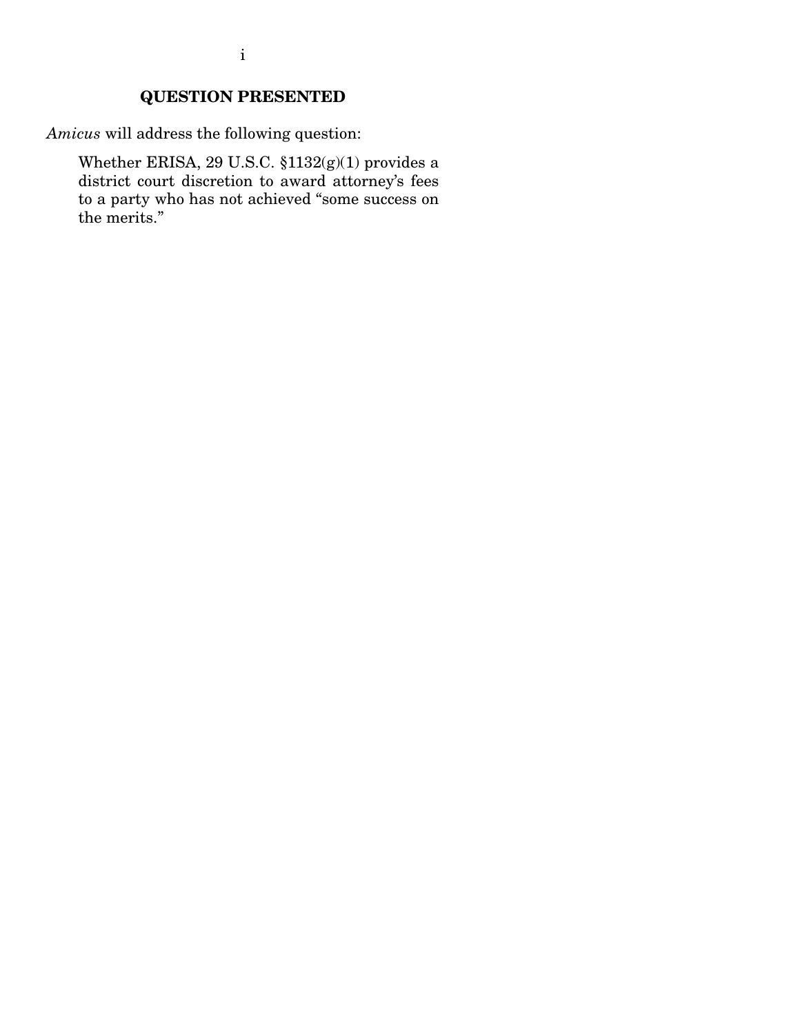## **QUESTION PRESENTED**

*Amicus* will address the following question:

Whether ERISA, 29 U.S.C. §1132(g)(1) provides a district court discretion to award attorney's fees to a party who has not achieved "some success on the merits."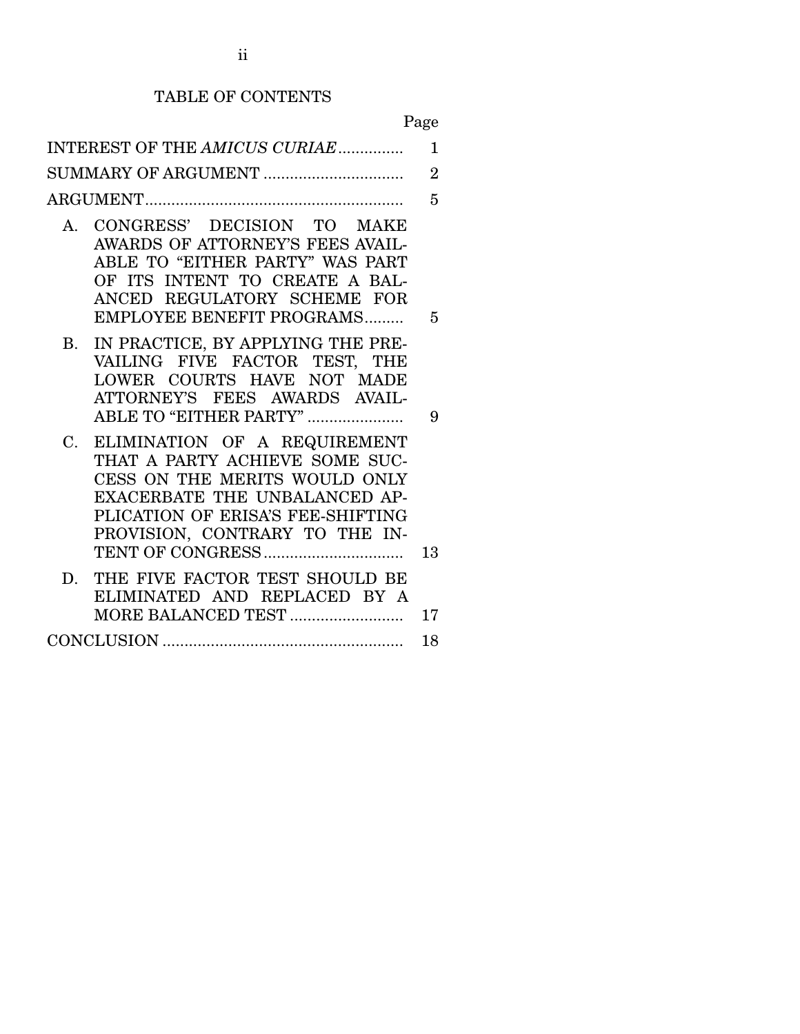# TABLE OF CONTENTS

Page

|    | INTEREST OF THE AMICUS CURIAE                                                                                                                                                                           | $\mathbf 1$    |
|----|---------------------------------------------------------------------------------------------------------------------------------------------------------------------------------------------------------|----------------|
|    | SUMMARY OF ARGUMENT                                                                                                                                                                                     | $\overline{2}$ |
|    |                                                                                                                                                                                                         | 5              |
|    | A. CONGRESS' DECISION TO MAKE<br>AWARDS OF ATTORNEY'S FEES AVAIL-<br>ABLE TO "EITHER PARTY" WAS PART<br>OF ITS INTENT TO CREATE A BAL-<br>ANCED REGULATORY SCHEME FOR<br>EMPLOYEE BENEFIT PROGRAMS      | 5              |
|    | B. IN PRACTICE, BY APPLYING THE PRE-<br>VAILING FIVE FACTOR TEST, THE<br>LOWER COURTS HAVE NOT MADE<br>ATTORNEY'S FEES AWARDS AVAIL-<br>ABLE TO "EITHER PARTY"                                          | 9              |
| C. | ELIMINATION OF A REQUIREMENT<br>THAT A PARTY ACHIEVE SOME SUC-<br>CESS ON THE MERITS WOULD ONLY<br>EXACERBATE THE UNBALANCED AP-<br>PLICATION OF ERISA'S FEE-SHIFTING<br>PROVISION, CONTRARY TO THE IN- | 13             |
|    | D. THE FIVE FACTOR TEST SHOULD BE<br>ELIMINATED AND REPLACED BY A<br>MORE BALANCED TEST                                                                                                                 | 17             |
|    |                                                                                                                                                                                                         | 18             |
|    |                                                                                                                                                                                                         |                |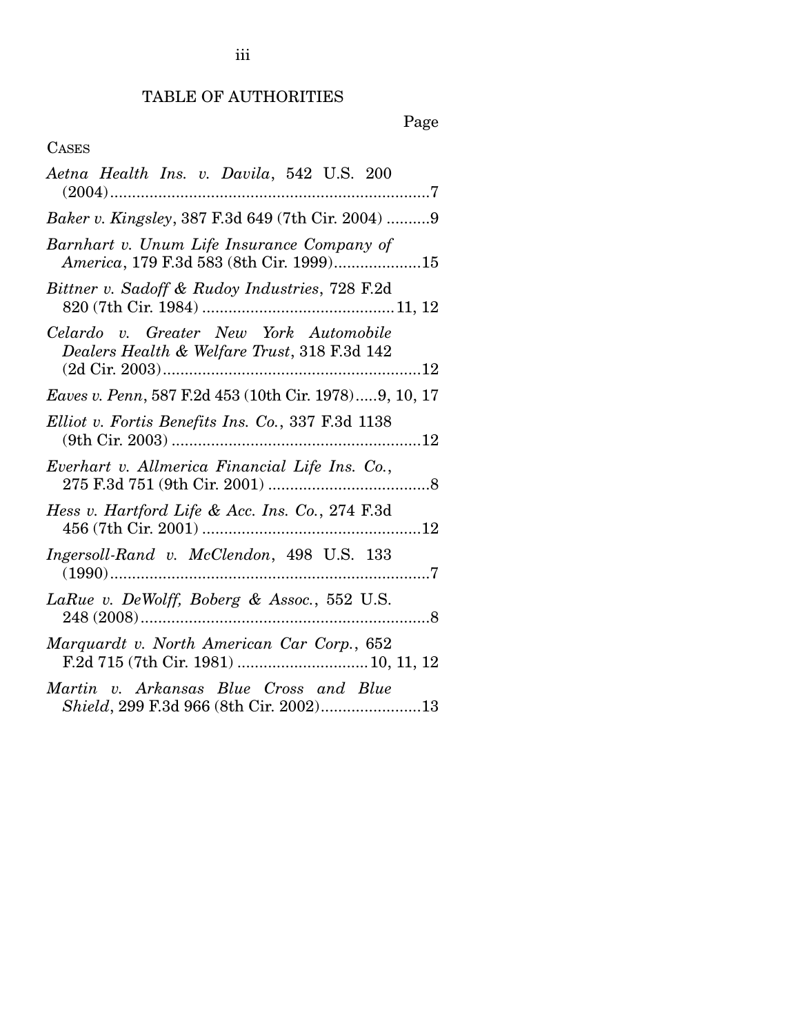## TABLE OF AUTHORITIES

# Page

## CASES

| Aetna Health Ins. v. Davila, 542 U.S. 200                                              |
|----------------------------------------------------------------------------------------|
| Baker v. Kingsley, 387 F.3d 649 (7th Cir. 2004) 9                                      |
| Barnhart v. Unum Life Insurance Company of<br>America, 179 F.3d 583 (8th Cir. 1999)15  |
| Bittner v. Sadoff & Rudoy Industries, 728 F.2d                                         |
| Celardo v. Greater New York Automobile<br>Dealers Health & Welfare Trust, 318 F.3d 142 |
| Eaves v. Penn, 587 F.2d 453 (10th Cir. 1978)9, 10, 17                                  |
| Elliot v. Fortis Benefits Ins. Co., 337 F.3d 1138                                      |
| Everhart v. Allmerica Financial Life Ins. Co.,                                         |
| Hess v. Hartford Life & Acc. Ins. Co., 274 F.3d                                        |
| Ingersoll-Rand v. McClendon, 498 U.S. 133                                              |
| LaRue v. DeWolff, Boberg & Assoc., 552 U.S.                                            |
| Marquardt v. North American Car Corp., 652                                             |
| Martin v. Arkansas Blue Cross and Blue<br>Shield, 299 F.3d 966 (8th Cir. 2002)13       |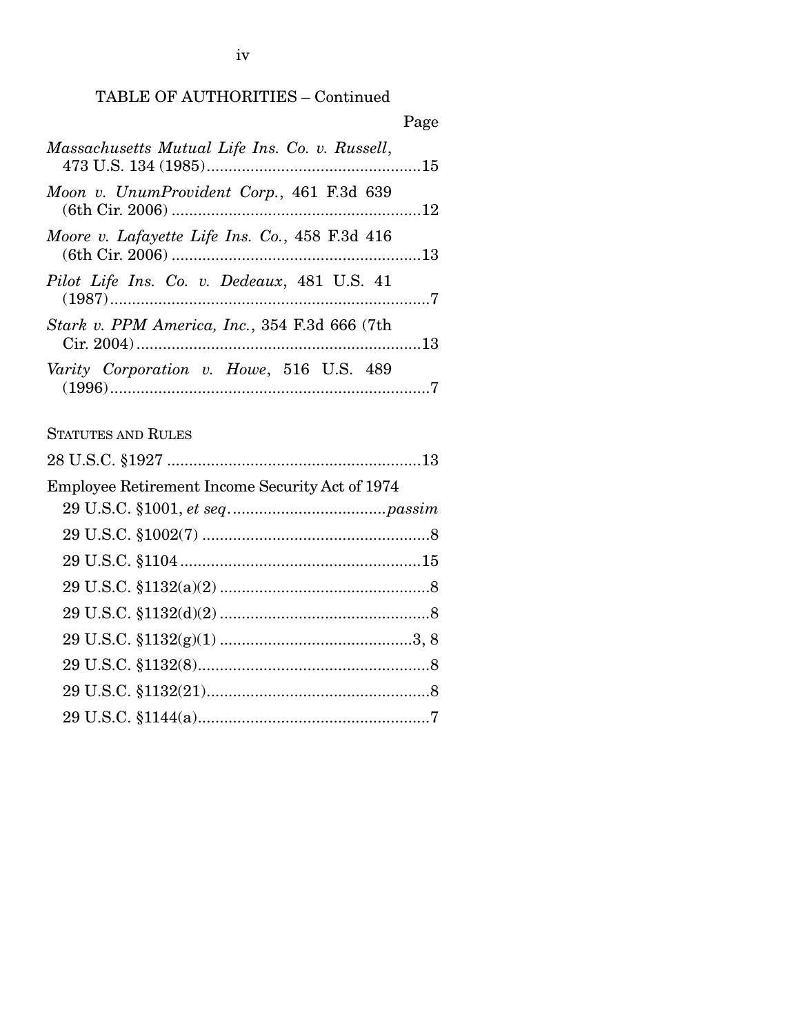## TABLE OF AUTHORITIES – Continued

|                                                      | Page |
|------------------------------------------------------|------|
| Massachusetts Mutual Life Ins. Co. v. Russell,       |      |
| Moon v. UnumProvident Corp., 461 F.3d 639            |      |
| Moore v. Lafayette Life Ins. Co., 458 F.3d 416       |      |
| Pilot Life Ins. Co. v. Dedeaux, 481 U.S. 41          |      |
| <i>Stark v. PPM America, Inc., 354 F.3d 666 (7th</i> |      |
| Varity Corporation v. Howe, 516 U.S. 489             |      |

## STATUTES AND RULES

iv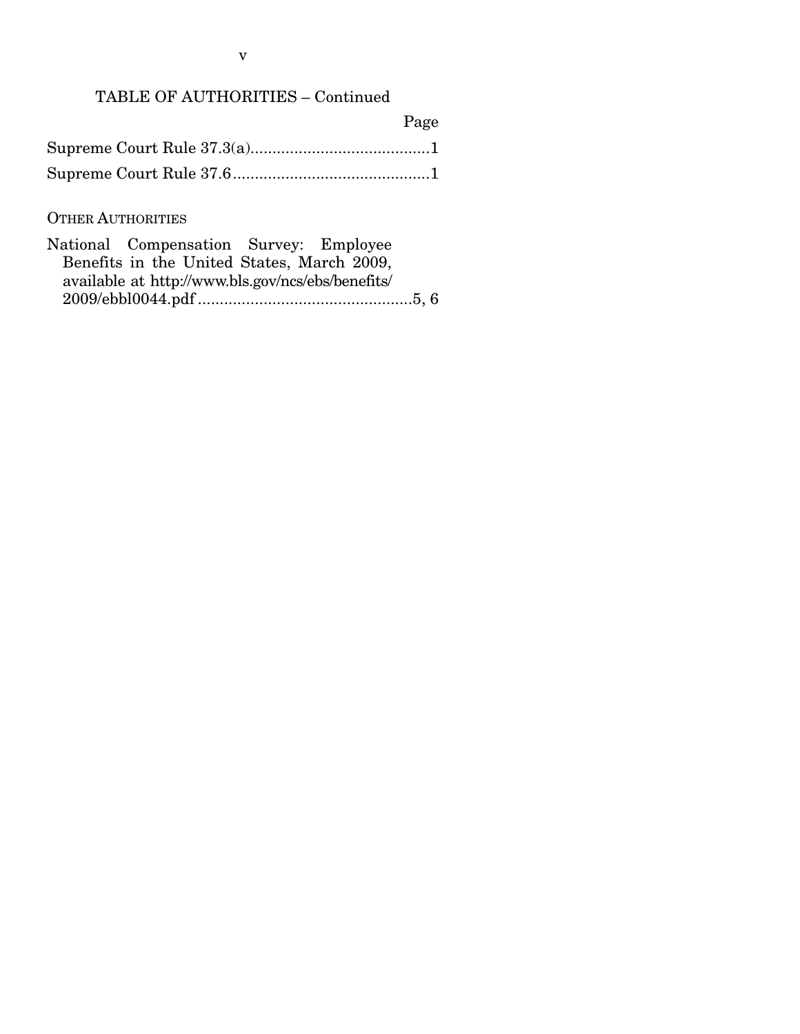## TABLE OF AUTHORITIES – Continued

| Page |
|------|
|      |
|      |

## OTHER AUTHORITIES

| National Compensation Survey: Employee            |  |  |  |
|---------------------------------------------------|--|--|--|
| Benefits in the United States, March 2009,        |  |  |  |
| available at http://www.bls.gov/ncs/ebs/benefits/ |  |  |  |
|                                                   |  |  |  |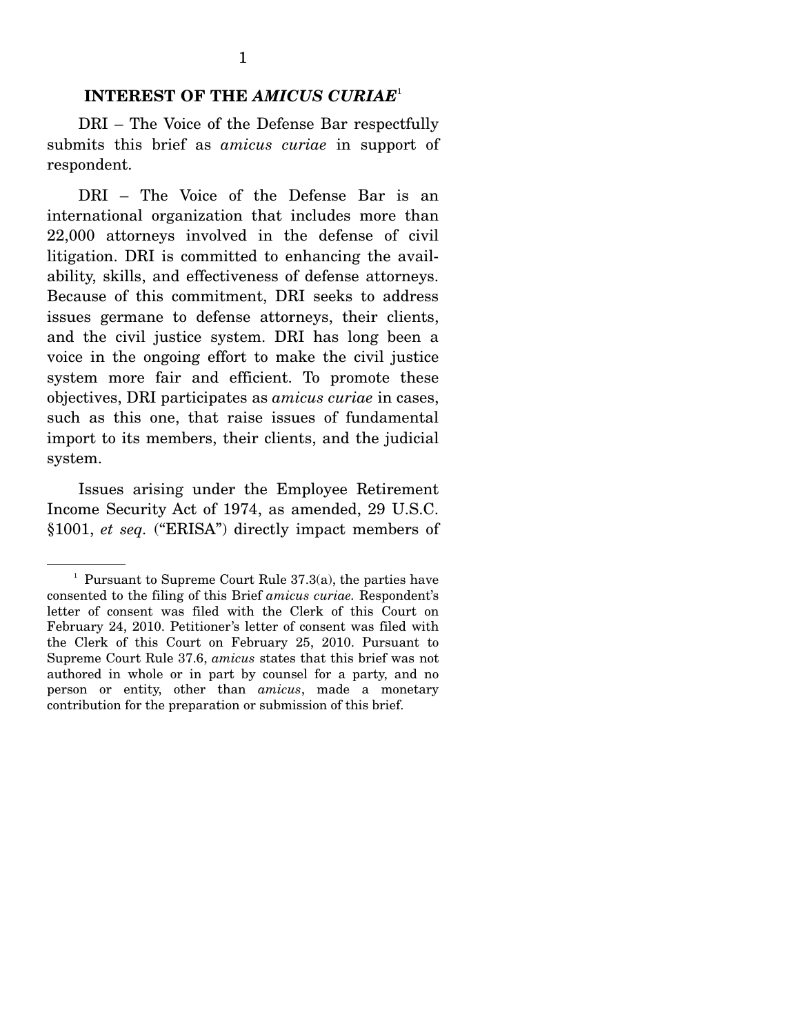#### **INTEREST OF THE** *AMICUS CURIAE*<sup>1</sup>

 DRI – The Voice of the Defense Bar respectfully submits this brief as *amicus curiae* in support of respondent.

 DRI – The Voice of the Defense Bar is an international organization that includes more than 22,000 attorneys involved in the defense of civil litigation. DRI is committed to enhancing the availability, skills, and effectiveness of defense attorneys. Because of this commitment, DRI seeks to address issues germane to defense attorneys, their clients, and the civil justice system. DRI has long been a voice in the ongoing effort to make the civil justice system more fair and efficient. To promote these objectives, DRI participates as *amicus curiae* in cases, such as this one, that raise issues of fundamental import to its members, their clients, and the judicial system.

 Issues arising under the Employee Retirement Income Security Act of 1974, as amended, 29 U.S.C. §1001, *et seq.* ("ERISA") directly impact members of

<sup>&</sup>lt;sup>1</sup> Pursuant to Supreme Court Rule  $37.3(a)$ , the parties have consented to the filing of this Brief *amicus curiae.* Respondent's letter of consent was filed with the Clerk of this Court on February 24, 2010. Petitioner's letter of consent was filed with the Clerk of this Court on February 25, 2010. Pursuant to Supreme Court Rule 37.6, *amicus* states that this brief was not authored in whole or in part by counsel for a party, and no person or entity, other than *amicus*, made a monetary contribution for the preparation or submission of this brief.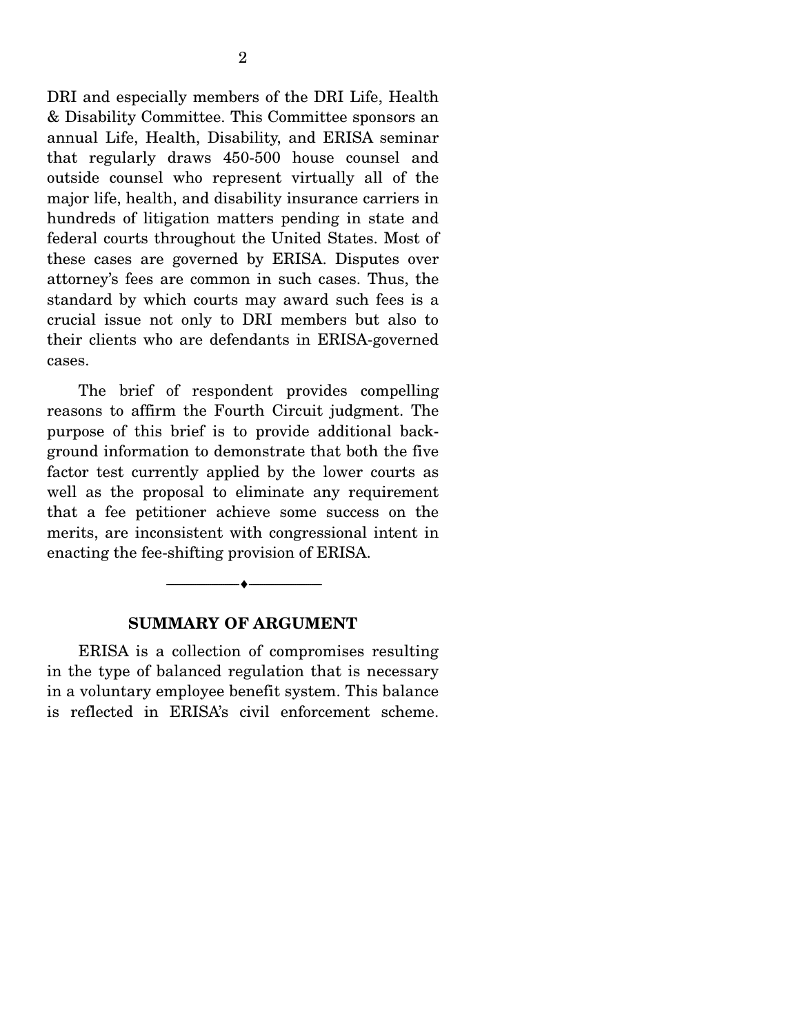DRI and especially members of the DRI Life, Health & Disability Committee. This Committee sponsors an annual Life, Health, Disability, and ERISA seminar that regularly draws 450-500 house counsel and outside counsel who represent virtually all of the major life, health, and disability insurance carriers in hundreds of litigation matters pending in state and federal courts throughout the United States. Most of these cases are governed by ERISA. Disputes over attorney's fees are common in such cases. Thus, the standard by which courts may award such fees is a crucial issue not only to DRI members but also to their clients who are defendants in ERISA-governed cases.

 The brief of respondent provides compelling reasons to affirm the Fourth Circuit judgment. The purpose of this brief is to provide additional background information to demonstrate that both the five factor test currently applied by the lower courts as well as the proposal to eliminate any requirement that a fee petitioner achieve some success on the merits, are inconsistent with congressional intent in enacting the fee-shifting provision of ERISA.

#### **SUMMARY OF ARGUMENT**

--------------------------------- ♦ ---------------------------------

 ERISA is a collection of compromises resulting in the type of balanced regulation that is necessary in a voluntary employee benefit system. This balance is reflected in ERISA's civil enforcement scheme.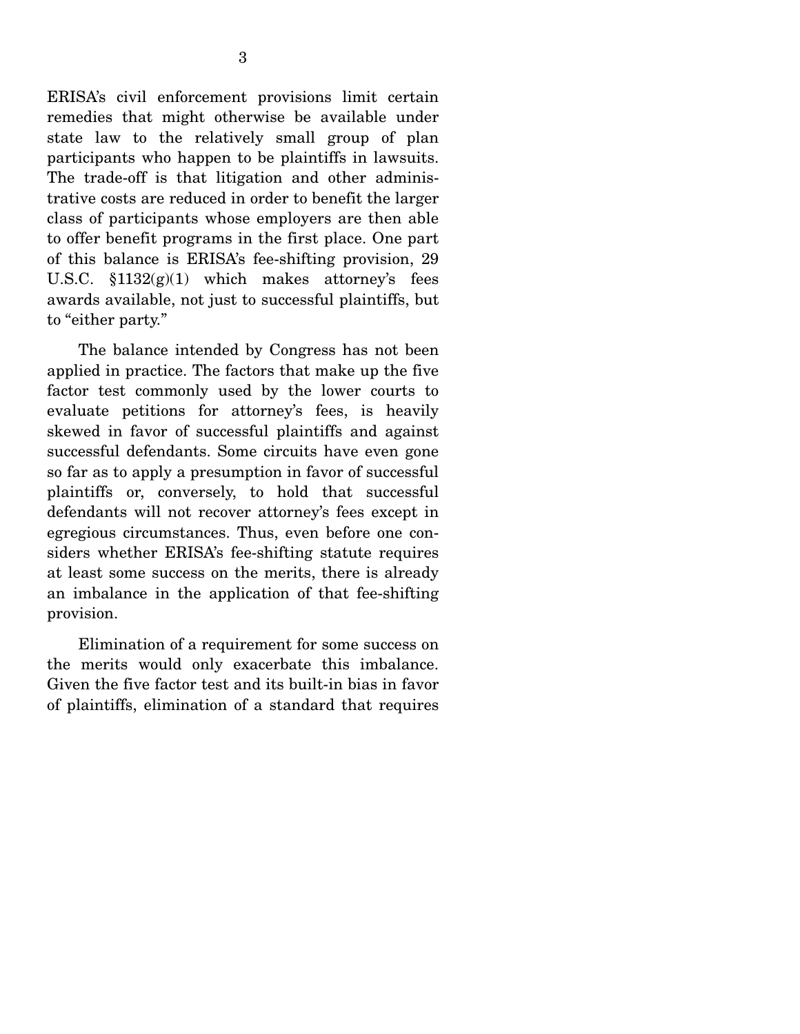ERISA's civil enforcement provisions limit certain remedies that might otherwise be available under state law to the relatively small group of plan participants who happen to be plaintiffs in lawsuits. The trade-off is that litigation and other administrative costs are reduced in order to benefit the larger class of participants whose employers are then able to offer benefit programs in the first place. One part of this balance is ERISA's fee-shifting provision, 29 U.S.C.  $$1132(g)(1)$  which makes attorney's fees awards available, not just to successful plaintiffs, but to "either party."

 The balance intended by Congress has not been applied in practice. The factors that make up the five factor test commonly used by the lower courts to evaluate petitions for attorney's fees, is heavily skewed in favor of successful plaintiffs and against successful defendants. Some circuits have even gone so far as to apply a presumption in favor of successful plaintiffs or, conversely, to hold that successful defendants will not recover attorney's fees except in egregious circumstances. Thus, even before one considers whether ERISA's fee-shifting statute requires at least some success on the merits, there is already an imbalance in the application of that fee-shifting provision.

 Elimination of a requirement for some success on the merits would only exacerbate this imbalance. Given the five factor test and its built-in bias in favor of plaintiffs, elimination of a standard that requires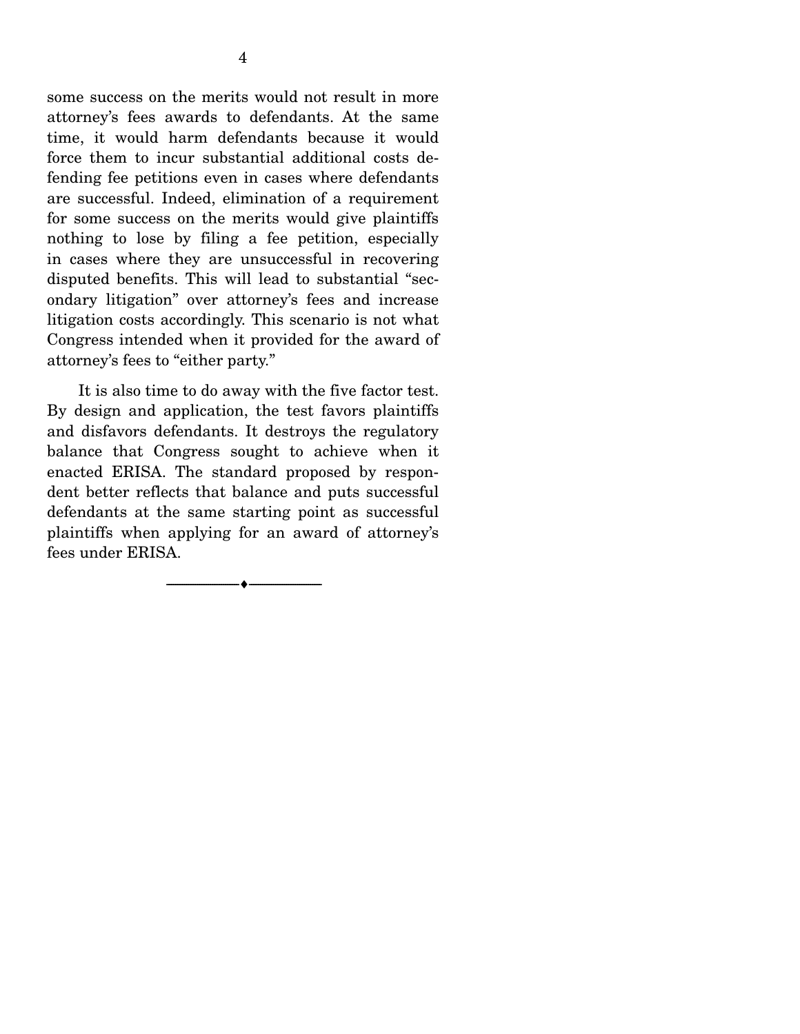some success on the merits would not result in more attorney's fees awards to defendants. At the same time, it would harm defendants because it would force them to incur substantial additional costs defending fee petitions even in cases where defendants are successful. Indeed, elimination of a requirement for some success on the merits would give plaintiffs nothing to lose by filing a fee petition, especially in cases where they are unsuccessful in recovering disputed benefits. This will lead to substantial "secondary litigation" over attorney's fees and increase litigation costs accordingly. This scenario is not what Congress intended when it provided for the award of attorney's fees to "either party."

 It is also time to do away with the five factor test. By design and application, the test favors plaintiffs and disfavors defendants. It destroys the regulatory balance that Congress sought to achieve when it enacted ERISA. The standard proposed by respondent better reflects that balance and puts successful defendants at the same starting point as successful plaintiffs when applying for an award of attorney's fees under ERISA.

--------------------------------- ♦ ---------------------------------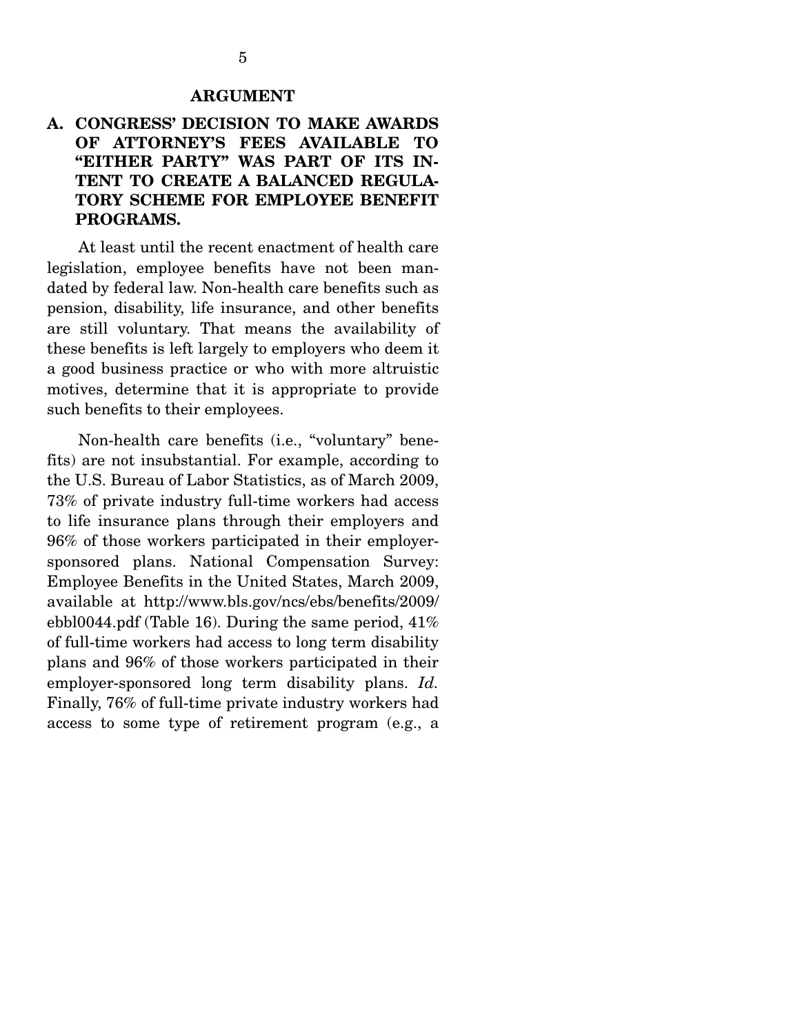#### **ARGUMENT**

## **A. CONGRESS' DECISION TO MAKE AWARDS OF ATTORNEY'S FEES AVAILABLE TO "EITHER PARTY" WAS PART OF ITS IN-TENT TO CREATE A BALANCED REGULA-TORY SCHEME FOR EMPLOYEE BENEFIT PROGRAMS.**

 At least until the recent enactment of health care legislation, employee benefits have not been mandated by federal law. Non-health care benefits such as pension, disability, life insurance, and other benefits are still voluntary. That means the availability of these benefits is left largely to employers who deem it a good business practice or who with more altruistic motives, determine that it is appropriate to provide such benefits to their employees.

 Non-health care benefits (i.e., "voluntary" benefits) are not insubstantial. For example, according to the U.S. Bureau of Labor Statistics, as of March 2009, 73% of private industry full-time workers had access to life insurance plans through their employers and 96% of those workers participated in their employersponsored plans. National Compensation Survey: Employee Benefits in the United States, March 2009, available at http://www.bls.gov/ncs/ebs/benefits/2009/ ebbl0044.pdf (Table 16). During the same period, 41% of full-time workers had access to long term disability plans and 96% of those workers participated in their employer-sponsored long term disability plans. *Id.*  Finally, 76% of full-time private industry workers had access to some type of retirement program (e.g., a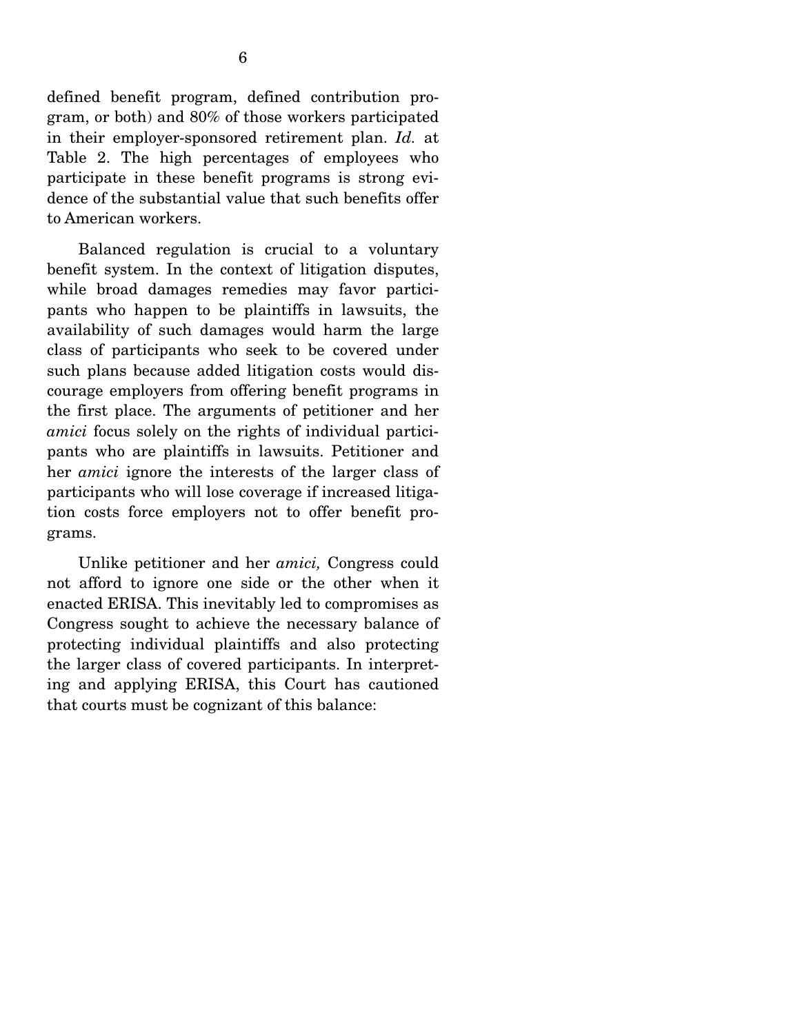defined benefit program, defined contribution program, or both) and 80% of those workers participated in their employer-sponsored retirement plan. *Id.* at Table 2. The high percentages of employees who participate in these benefit programs is strong evidence of the substantial value that such benefits offer to American workers.

 Balanced regulation is crucial to a voluntary benefit system. In the context of litigation disputes, while broad damages remedies may favor participants who happen to be plaintiffs in lawsuits, the availability of such damages would harm the large class of participants who seek to be covered under such plans because added litigation costs would discourage employers from offering benefit programs in the first place. The arguments of petitioner and her *amici* focus solely on the rights of individual participants who are plaintiffs in lawsuits. Petitioner and her *amici* ignore the interests of the larger class of participants who will lose coverage if increased litigation costs force employers not to offer benefit programs.

 Unlike petitioner and her *amici,* Congress could not afford to ignore one side or the other when it enacted ERISA. This inevitably led to compromises as Congress sought to achieve the necessary balance of protecting individual plaintiffs and also protecting the larger class of covered participants. In interpreting and applying ERISA, this Court has cautioned that courts must be cognizant of this balance: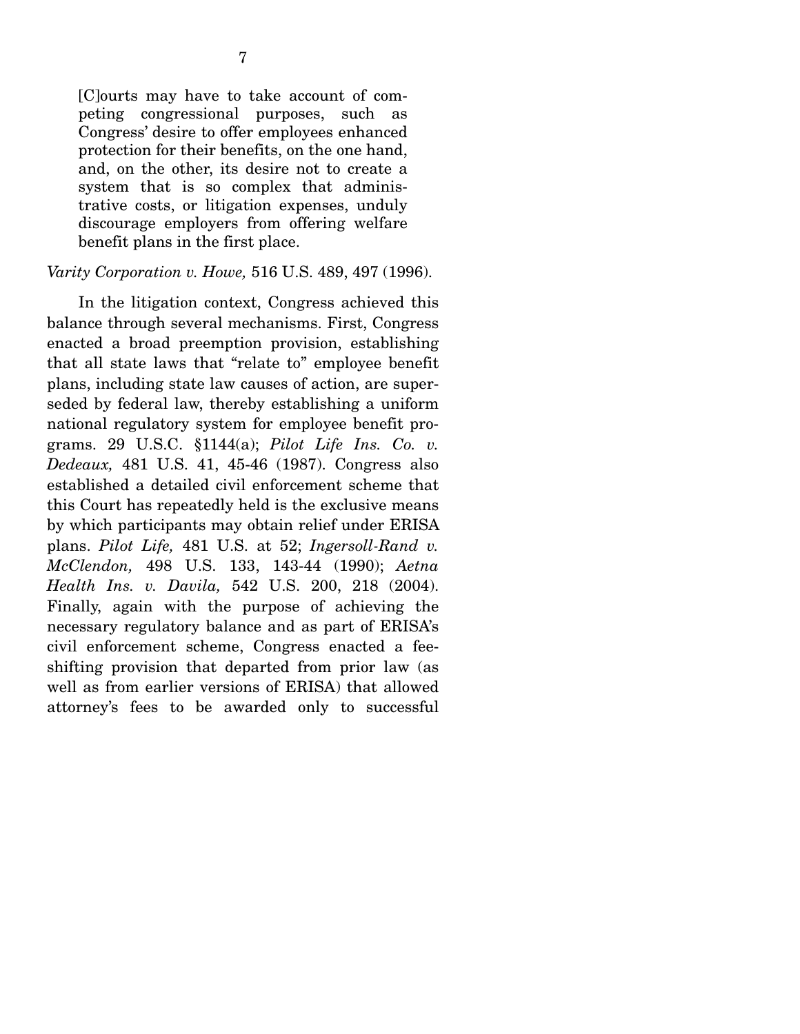[C]ourts may have to take account of competing congressional purposes, such as Congress' desire to offer employees enhanced protection for their benefits, on the one hand, and, on the other, its desire not to create a system that is so complex that administrative costs, or litigation expenses, unduly discourage employers from offering welfare benefit plans in the first place.

#### *Varity Corporation v. Howe,* 516 U.S. 489, 497 (1996).

 In the litigation context, Congress achieved this balance through several mechanisms. First, Congress enacted a broad preemption provision, establishing that all state laws that "relate to" employee benefit plans, including state law causes of action, are superseded by federal law, thereby establishing a uniform national regulatory system for employee benefit programs. 29 U.S.C. §1144(a); *Pilot Life Ins. Co. v. Dedeaux,* 481 U.S. 41, 45-46 (1987). Congress also established a detailed civil enforcement scheme that this Court has repeatedly held is the exclusive means by which participants may obtain relief under ERISA plans. *Pilot Life,* 481 U.S. at 52; *Ingersoll-Rand v. McClendon,* 498 U.S. 133, 143-44 (1990); *Aetna Health Ins. v. Davila,* 542 U.S. 200, 218 (2004). Finally, again with the purpose of achieving the necessary regulatory balance and as part of ERISA's civil enforcement scheme, Congress enacted a feeshifting provision that departed from prior law (as well as from earlier versions of ERISA) that allowed attorney's fees to be awarded only to successful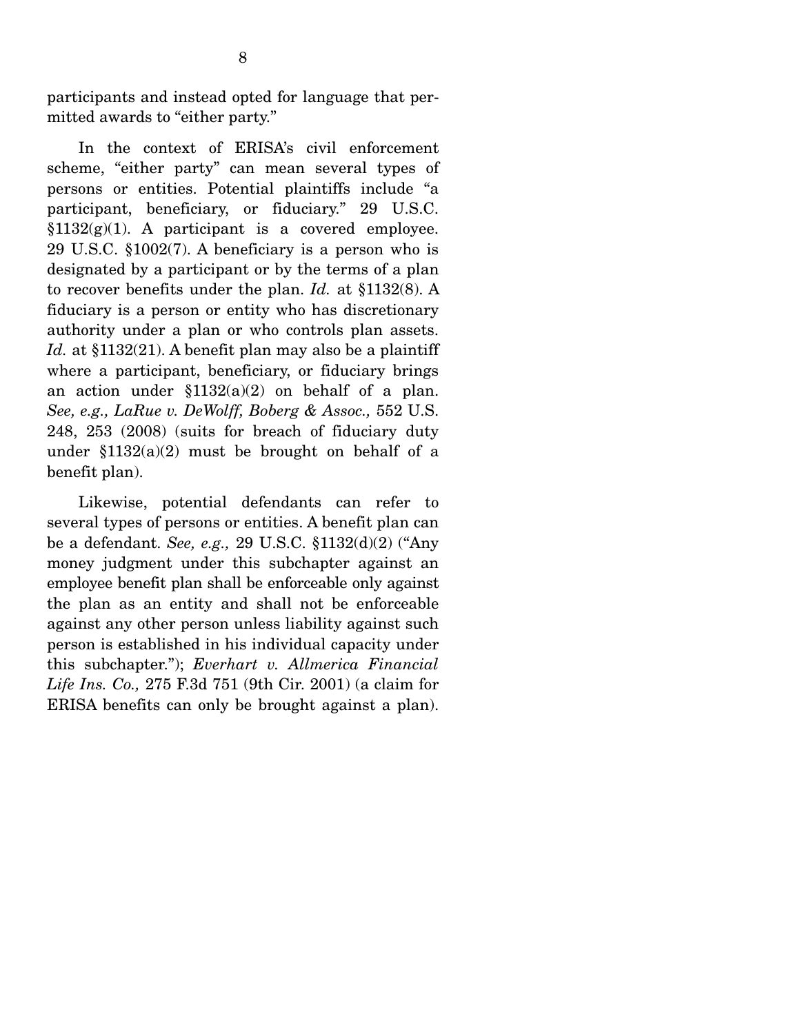participants and instead opted for language that permitted awards to "either party."

 In the context of ERISA's civil enforcement scheme, "either party" can mean several types of persons or entities. Potential plaintiffs include "a participant, beneficiary, or fiduciary." 29 U.S.C.  $§1132(g)(1)$ . A participant is a covered employee. 29 U.S.C. §1002(7). A beneficiary is a person who is designated by a participant or by the terms of a plan to recover benefits under the plan. *Id.* at §1132(8). A fiduciary is a person or entity who has discretionary authority under a plan or who controls plan assets. Id. at §1132(21). A benefit plan may also be a plaintiff where a participant, beneficiary, or fiduciary brings an action under  $$1132(a)(2)$  on behalf of a plan. *See, e.g., LaRue v. DeWolff, Boberg & Assoc.,* 552 U.S. 248, 253 (2008) (suits for breach of fiduciary duty under  $$1132(a)(2)$  must be brought on behalf of a benefit plan).

 Likewise, potential defendants can refer to several types of persons or entities. A benefit plan can be a defendant. *See, e.g.,* 29 U.S.C. §1132(d)(2) ("Any money judgment under this subchapter against an employee benefit plan shall be enforceable only against the plan as an entity and shall not be enforceable against any other person unless liability against such person is established in his individual capacity under this subchapter."); *Everhart v. Allmerica Financial Life Ins. Co.,* 275 F.3d 751 (9th Cir. 2001) (a claim for ERISA benefits can only be brought against a plan).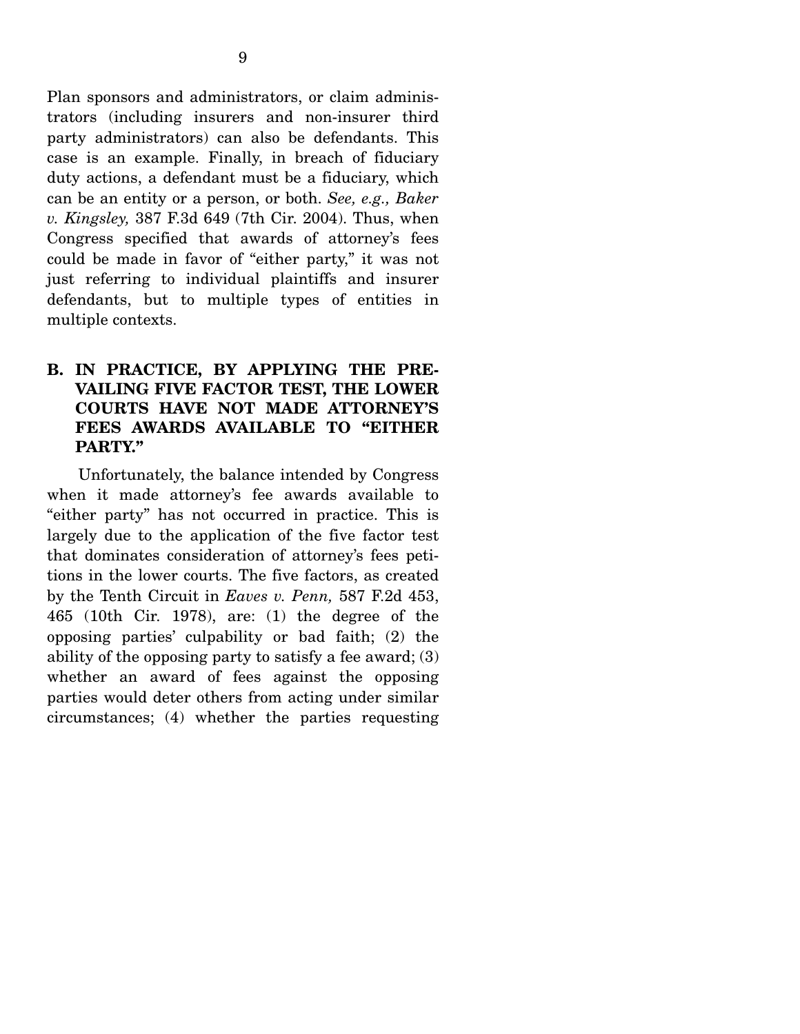Plan sponsors and administrators, or claim administrators (including insurers and non-insurer third party administrators) can also be defendants. This case is an example. Finally, in breach of fiduciary duty actions, a defendant must be a fiduciary, which can be an entity or a person, or both. *See, e.g., Baker v. Kingsley,* 387 F.3d 649 (7th Cir. 2004). Thus, when Congress specified that awards of attorney's fees could be made in favor of "either party," it was not just referring to individual plaintiffs and insurer defendants, but to multiple types of entities in multiple contexts.

### **B. IN PRACTICE, BY APPLYING THE PRE-VAILING FIVE FACTOR TEST, THE LOWER COURTS HAVE NOT MADE ATTORNEY'S FEES AWARDS AVAILABLE TO "EITHER PARTY."**

 Unfortunately, the balance intended by Congress when it made attorney's fee awards available to "either party" has not occurred in practice. This is largely due to the application of the five factor test that dominates consideration of attorney's fees petitions in the lower courts. The five factors, as created by the Tenth Circuit in *Eaves v. Penn,* 587 F.2d 453, 465 (10th Cir. 1978), are: (1) the degree of the opposing parties' culpability or bad faith; (2) the ability of the opposing party to satisfy a fee award; (3) whether an award of fees against the opposing parties would deter others from acting under similar circumstances; (4) whether the parties requesting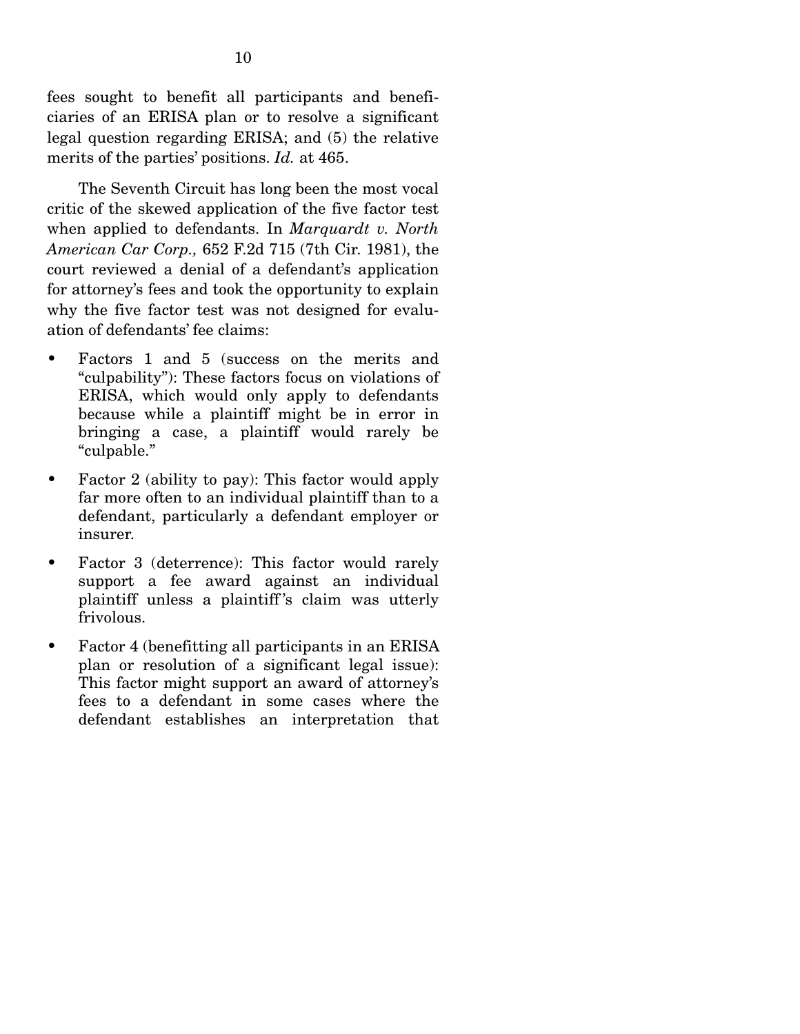fees sought to benefit all participants and beneficiaries of an ERISA plan or to resolve a significant legal question regarding ERISA; and (5) the relative merits of the parties' positions. *Id.* at 465.

 The Seventh Circuit has long been the most vocal critic of the skewed application of the five factor test when applied to defendants. In *Marquardt v. North American Car Corp.,* 652 F.2d 715 (7th Cir. 1981), the court reviewed a denial of a defendant's application for attorney's fees and took the opportunity to explain why the five factor test was not designed for evaluation of defendants' fee claims:

- Factors 1 and 5 (success on the merits and "culpability"): These factors focus on violations of ERISA, which would only apply to defendants because while a plaintiff might be in error in bringing a case, a plaintiff would rarely be "culpable."
- Factor 2 (ability to pay): This factor would apply far more often to an individual plaintiff than to a defendant, particularly a defendant employer or insurer.
- Factor 3 (deterrence): This factor would rarely support a fee award against an individual plaintiff unless a plaintiff 's claim was utterly frivolous.
- Factor 4 (benefitting all participants in an ERISA plan or resolution of a significant legal issue): This factor might support an award of attorney's fees to a defendant in some cases where the defendant establishes an interpretation that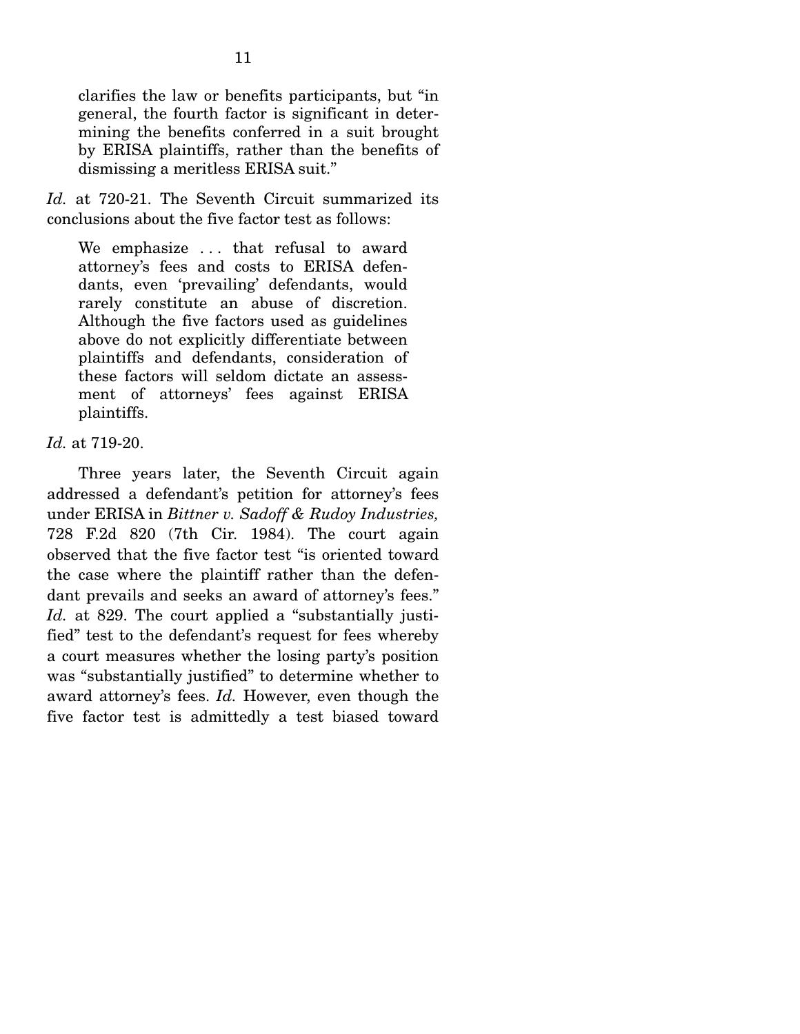clarifies the law or benefits participants, but "in general, the fourth factor is significant in determining the benefits conferred in a suit brought by ERISA plaintiffs, rather than the benefits of dismissing a meritless ERISA suit."

*Id.* at 720-21. The Seventh Circuit summarized its conclusions about the five factor test as follows:

We emphasize ... that refusal to award attorney's fees and costs to ERISA defendants, even 'prevailing' defendants, would rarely constitute an abuse of discretion. Although the five factors used as guidelines above do not explicitly differentiate between plaintiffs and defendants, consideration of these factors will seldom dictate an assessment of attorneys' fees against ERISA plaintiffs.

#### *Id.* at 719-20.

 Three years later, the Seventh Circuit again addressed a defendant's petition for attorney's fees under ERISA in *Bittner v. Sadoff & Rudoy Industries,*  728 F.2d 820 (7th Cir. 1984). The court again observed that the five factor test "is oriented toward the case where the plaintiff rather than the defendant prevails and seeks an award of attorney's fees." Id. at 829. The court applied a "substantially justified" test to the defendant's request for fees whereby a court measures whether the losing party's position was "substantially justified" to determine whether to award attorney's fees. *Id.* However, even though the five factor test is admittedly a test biased toward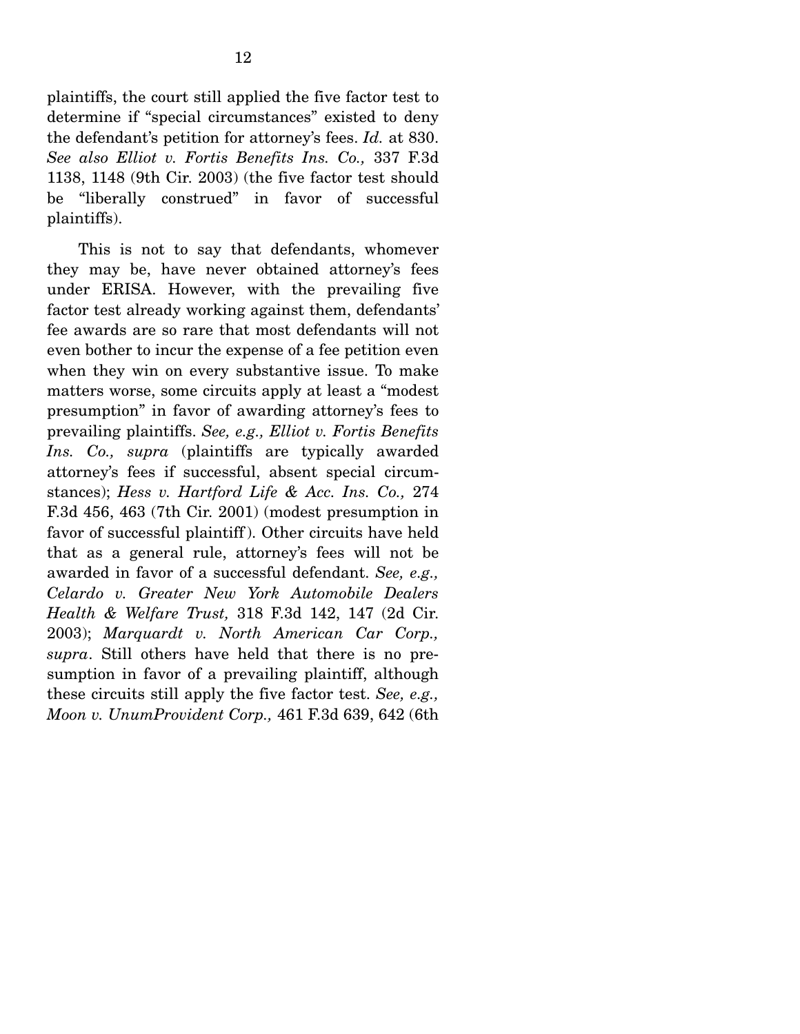plaintiffs, the court still applied the five factor test to determine if "special circumstances" existed to deny the defendant's petition for attorney's fees. *Id.* at 830. *See also Elliot v. Fortis Benefits Ins. Co.,* 337 F.3d 1138, 1148 (9th Cir. 2003) (the five factor test should be "liberally construed" in favor of successful plaintiffs).

 This is not to say that defendants, whomever they may be, have never obtained attorney's fees under ERISA. However, with the prevailing five factor test already working against them, defendants' fee awards are so rare that most defendants will not even bother to incur the expense of a fee petition even when they win on every substantive issue. To make matters worse, some circuits apply at least a "modest presumption" in favor of awarding attorney's fees to prevailing plaintiffs. *See, e.g., Elliot v. Fortis Benefits Ins. Co., supra* (plaintiffs are typically awarded attorney's fees if successful, absent special circumstances); *Hess v. Hartford Life & Acc. Ins. Co.,* 274 F.3d 456, 463 (7th Cir. 2001) (modest presumption in favor of successful plaintiff ). Other circuits have held that as a general rule, attorney's fees will not be awarded in favor of a successful defendant. *See, e.g., Celardo v. Greater New York Automobile Dealers Health & Welfare Trust,* 318 F.3d 142, 147 (2d Cir. 2003); *Marquardt v. North American Car Corp., supra*. Still others have held that there is no presumption in favor of a prevailing plaintiff, although these circuits still apply the five factor test. *See, e.g., Moon v. UnumProvident Corp.,* 461 F.3d 639, 642 (6th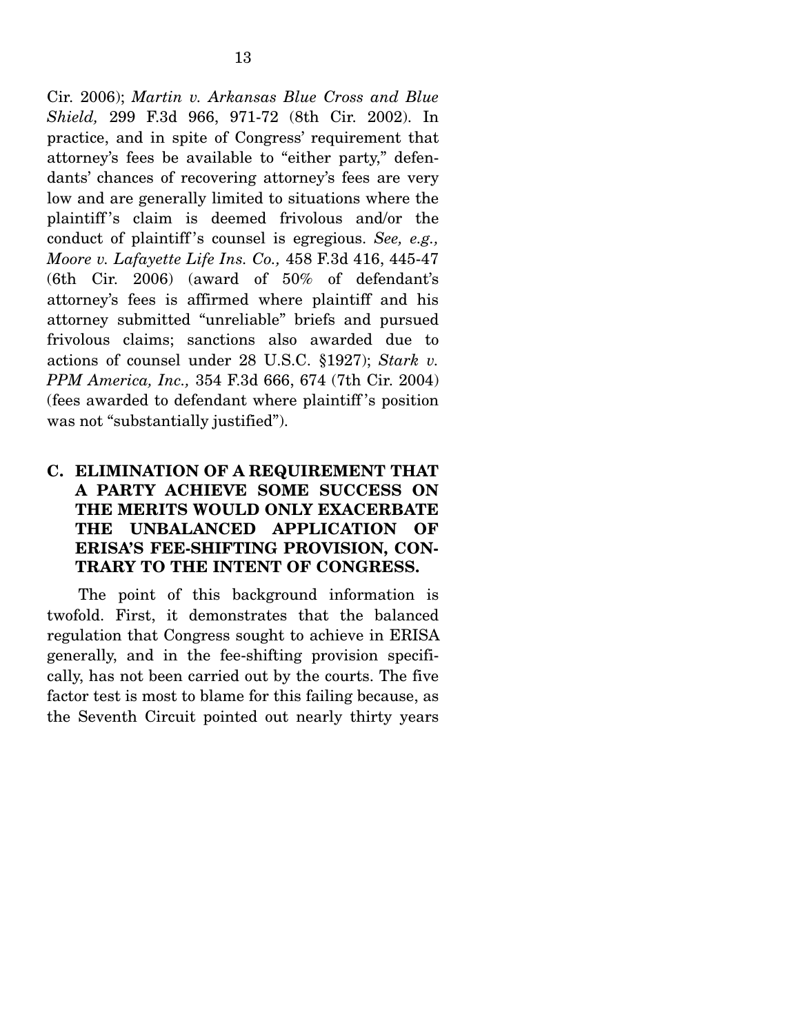Cir. 2006); *Martin v. Arkansas Blue Cross and Blue Shield,* 299 F.3d 966, 971-72 (8th Cir. 2002). In practice, and in spite of Congress' requirement that attorney's fees be available to "either party," defendants' chances of recovering attorney's fees are very low and are generally limited to situations where the plaintiff 's claim is deemed frivolous and/or the conduct of plaintiff 's counsel is egregious. *See, e.g., Moore v. Lafayette Life Ins. Co.,* 458 F.3d 416, 445-47 (6th Cir. 2006) (award of 50% of defendant's attorney's fees is affirmed where plaintiff and his attorney submitted "unreliable" briefs and pursued frivolous claims; sanctions also awarded due to actions of counsel under 28 U.S.C. §1927); *Stark v. PPM America, Inc.,* 354 F.3d 666, 674 (7th Cir. 2004) (fees awarded to defendant where plaintiff 's position was not "substantially justified").

## **C. ELIMINATION OF A REQUIREMENT THAT A PARTY ACHIEVE SOME SUCCESS ON THE MERITS WOULD ONLY EXACERBATE THE UNBALANCED APPLICATION OF ERISA'S FEE-SHIFTING PROVISION, CON-TRARY TO THE INTENT OF CONGRESS.**

 The point of this background information is twofold. First, it demonstrates that the balanced regulation that Congress sought to achieve in ERISA generally, and in the fee-shifting provision specifically, has not been carried out by the courts. The five factor test is most to blame for this failing because, as the Seventh Circuit pointed out nearly thirty years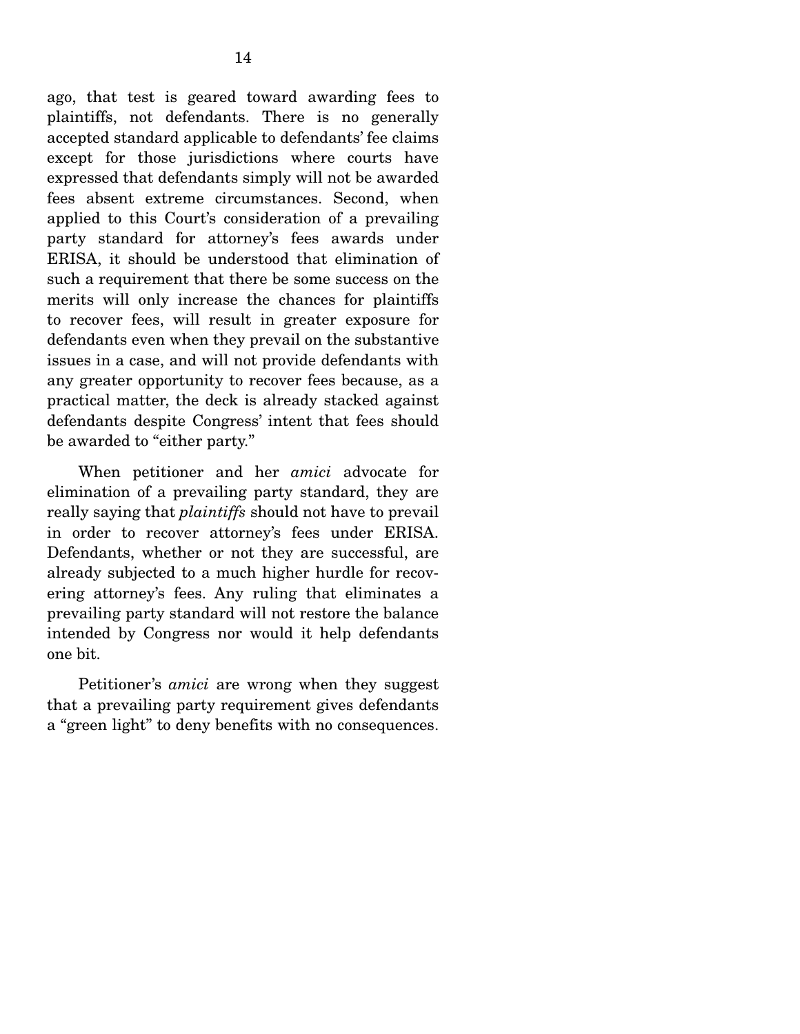ago, that test is geared toward awarding fees to plaintiffs, not defendants. There is no generally accepted standard applicable to defendants' fee claims except for those jurisdictions where courts have expressed that defendants simply will not be awarded fees absent extreme circumstances. Second, when applied to this Court's consideration of a prevailing party standard for attorney's fees awards under ERISA, it should be understood that elimination of such a requirement that there be some success on the merits will only increase the chances for plaintiffs to recover fees, will result in greater exposure for defendants even when they prevail on the substantive issues in a case, and will not provide defendants with any greater opportunity to recover fees because, as a practical matter, the deck is already stacked against defendants despite Congress' intent that fees should be awarded to "either party."

 When petitioner and her *amici* advocate for elimination of a prevailing party standard, they are really saying that *plaintiffs* should not have to prevail in order to recover attorney's fees under ERISA. Defendants, whether or not they are successful, are already subjected to a much higher hurdle for recovering attorney's fees. Any ruling that eliminates a prevailing party standard will not restore the balance intended by Congress nor would it help defendants one bit.

 Petitioner's *amici* are wrong when they suggest that a prevailing party requirement gives defendants a "green light" to deny benefits with no consequences.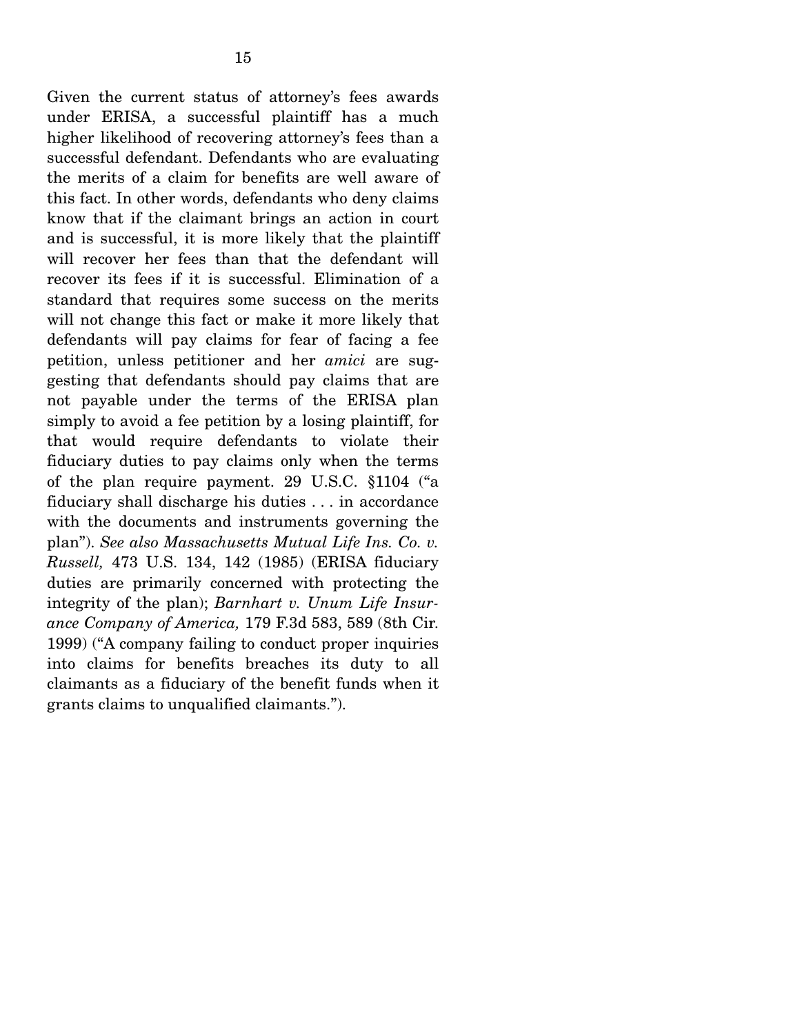Given the current status of attorney's fees awards under ERISA, a successful plaintiff has a much higher likelihood of recovering attorney's fees than a successful defendant. Defendants who are evaluating the merits of a claim for benefits are well aware of this fact. In other words, defendants who deny claims know that if the claimant brings an action in court and is successful, it is more likely that the plaintiff will recover her fees than that the defendant will recover its fees if it is successful. Elimination of a standard that requires some success on the merits will not change this fact or make it more likely that defendants will pay claims for fear of facing a fee petition, unless petitioner and her *amici* are suggesting that defendants should pay claims that are not payable under the terms of the ERISA plan simply to avoid a fee petition by a losing plaintiff, for that would require defendants to violate their fiduciary duties to pay claims only when the terms of the plan require payment. 29 U.S.C. §1104 ("a fiduciary shall discharge his duties . . . in accordance with the documents and instruments governing the plan"). *See also Massachusetts Mutual Life Ins. Co. v. Russell,* 473 U.S. 134, 142 (1985) (ERISA fiduciary duties are primarily concerned with protecting the integrity of the plan); *Barnhart v. Unum Life Insurance Company of America,* 179 F.3d 583, 589 (8th Cir. 1999) ("A company failing to conduct proper inquiries into claims for benefits breaches its duty to all claimants as a fiduciary of the benefit funds when it grants claims to unqualified claimants.").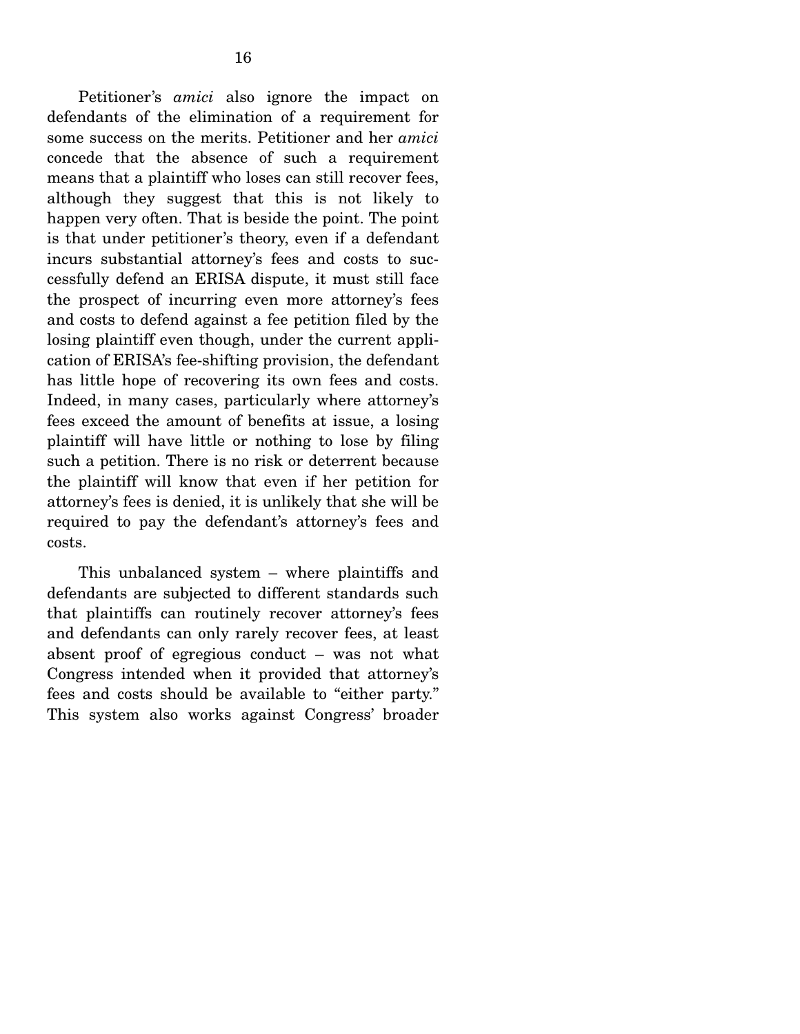Petitioner's *amici* also ignore the impact on defendants of the elimination of a requirement for some success on the merits. Petitioner and her *amici*  concede that the absence of such a requirement means that a plaintiff who loses can still recover fees, although they suggest that this is not likely to happen very often. That is beside the point. The point is that under petitioner's theory, even if a defendant incurs substantial attorney's fees and costs to successfully defend an ERISA dispute, it must still face the prospect of incurring even more attorney's fees and costs to defend against a fee petition filed by the losing plaintiff even though, under the current application of ERISA's fee-shifting provision, the defendant has little hope of recovering its own fees and costs. Indeed, in many cases, particularly where attorney's fees exceed the amount of benefits at issue, a losing plaintiff will have little or nothing to lose by filing such a petition. There is no risk or deterrent because the plaintiff will know that even if her petition for attorney's fees is denied, it is unlikely that she will be required to pay the defendant's attorney's fees and costs.

 This unbalanced system – where plaintiffs and defendants are subjected to different standards such that plaintiffs can routinely recover attorney's fees and defendants can only rarely recover fees, at least absent proof of egregious conduct – was not what Congress intended when it provided that attorney's fees and costs should be available to "either party." This system also works against Congress' broader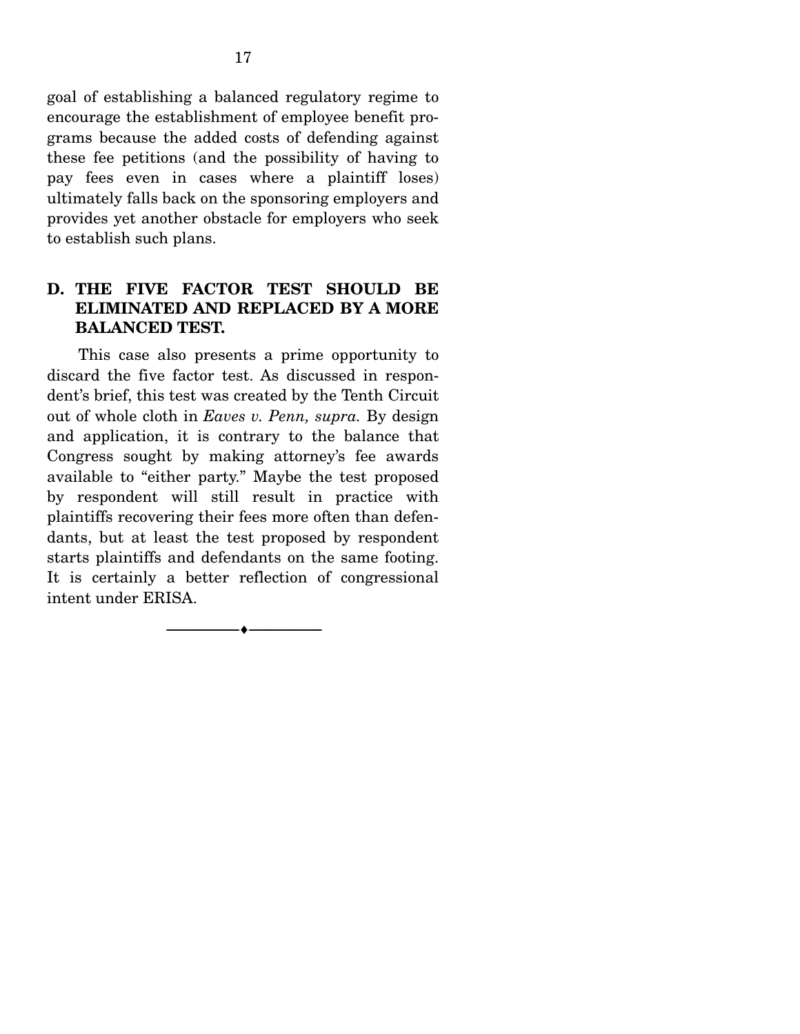goal of establishing a balanced regulatory regime to encourage the establishment of employee benefit programs because the added costs of defending against these fee petitions (and the possibility of having to pay fees even in cases where a plaintiff loses) ultimately falls back on the sponsoring employers and provides yet another obstacle for employers who seek to establish such plans.

## **D. THE FIVE FACTOR TEST SHOULD BE ELIMINATED AND REPLACED BY A MORE BALANCED TEST.**

 This case also presents a prime opportunity to discard the five factor test. As discussed in respondent's brief, this test was created by the Tenth Circuit out of whole cloth in *Eaves v. Penn, supra.* By design and application, it is contrary to the balance that Congress sought by making attorney's fee awards available to "either party." Maybe the test proposed by respondent will still result in practice with plaintiffs recovering their fees more often than defendants, but at least the test proposed by respondent starts plaintiffs and defendants on the same footing. It is certainly a better reflection of congressional intent under ERISA.

--------------------------------- ♦ ---------------------------------